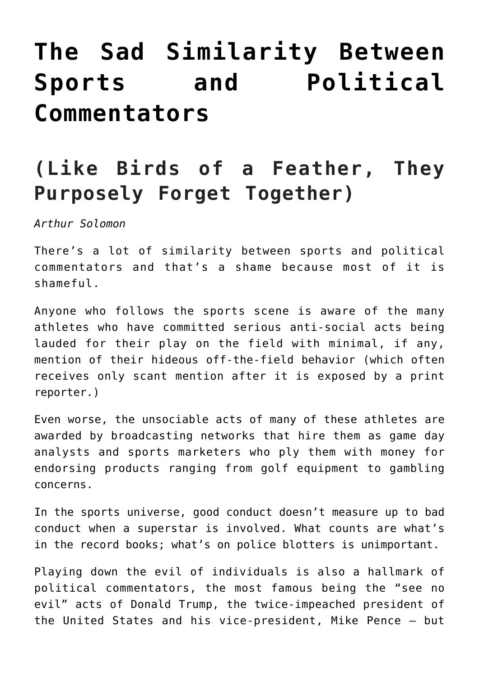## **[The Sad Similarity Between](https://www.commpro.biz/the-sad-similarity-between-sports-and-political-commentators/) [Sports and Political](https://www.commpro.biz/the-sad-similarity-between-sports-and-political-commentators/) [Commentators](https://www.commpro.biz/the-sad-similarity-between-sports-and-political-commentators/)**

## **(Like Birds of a Feather, They Purposely Forget Together)**

*Arthur Solomon*

There's a lot of similarity between sports and political commentators and that's a shame because most of it is shameful.

Anyone who follows the sports scene is aware of the many athletes who have committed serious anti-social acts being lauded for their play on the field with minimal, if any, mention of their hideous off-the-field behavior (which often receives only scant mention after it is exposed by a print reporter.)

Even worse, the unsociable acts of many of these athletes are awarded by broadcasting networks that hire them as game day analysts and sports marketers who ply them with money for endorsing products ranging from golf equipment to gambling concerns.

In the sports universe, good conduct doesn't measure up to bad conduct when a superstar is involved. What counts are what's in the record books; what's on police blotters is unimportant.

Playing down the evil of individuals is also a hallmark of political commentators, the most famous being the "see no evil" acts of Donald Trump, the twice-impeached president of the United States and his vice-president, Mike Pence – but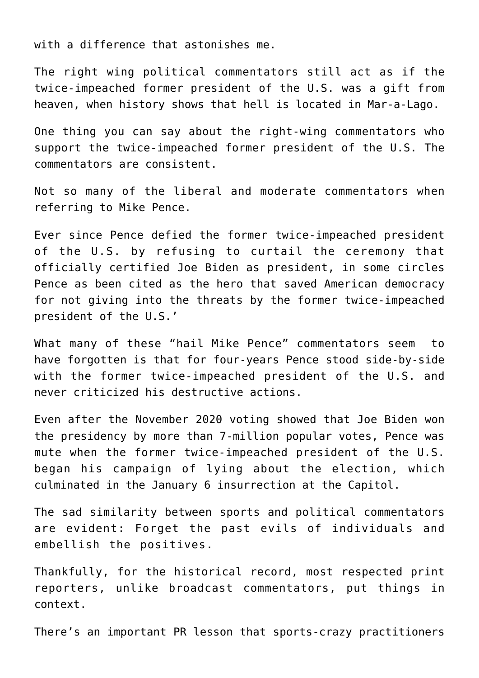with a difference that astonishes me.

The right wing political commentators still act as if the twice-impeached former president of the U.S. was a gift from heaven, when history shows that hell is located in Mar-a-Lago.

One thing you can say about the right-wing commentators who support the twice-impeached former president of the U.S. The commentators are consistent.

Not so many of the liberal and moderate commentators when referring to Mike Pence.

Ever since Pence defied the former twice-impeached president of the U.S. by refusing to curtail the ceremony that officially certified Joe Biden as president, in some circles Pence as been cited as the hero that saved American democracy for not giving into the threats by the former twice-impeached president of the U.S.'

What many of these "hail Mike Pence" commentators seem to have forgotten is that for four-years Pence stood side-by-side with the former twice-impeached president of the U.S. and never criticized his destructive actions.

Even after the November 2020 voting showed that Joe Biden won the presidency by more than 7-million popular votes, Pence was mute when the former twice-impeached president of the U.S. began his campaign of lying about the election, which culminated in the January 6 insurrection at the Capitol.

The sad similarity between sports and political commentators are evident: Forget the past evils of individuals and embellish the positives.

Thankfully, for the historical record, most respected print reporters, unlike broadcast commentators, put things in context.

There's an important [PR](https://www.commpro.biz/public-relations-section/) lesson that sports-crazy practitioners